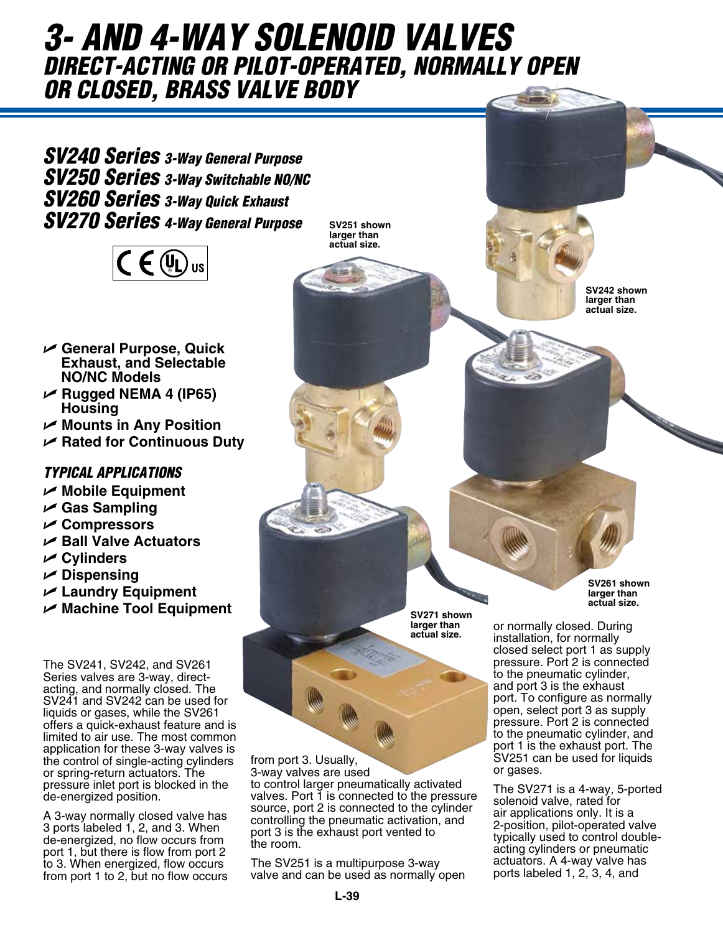# *3- and 4-way Solenoid Valves direct-acting or pilot-operated, normally open or closed, brass valve body*

*SV240 Series 3-Way General Purpose SV250 Series 3-Way Switchable NO/NC SV260 Series 3-Way Quick Exhaust SV270 Series 4-Way General Purpose* SV251 shown



- U **General Purpose, Quick Exhaust, and Selectable NO/NC Models**
- U **Rugged NEMA 4 (IP65) Housing**
- U **Mounts in Any Position**
- U **Rated for Continuous Duty**

# *Typical Applications*

- U **Mobile Equipment**
- U **Gas Sampling**
- U **Compressors**
- U **Ball Valve Actuators**
- U **Cylinders**
- U **Dispensing**
- U **Laundry Equipment**
- U **Machine Tool Equipment**

The SV241, SV242, and SV261 Series valves are 3-way, directacting, and normally closed. The SV241 and SV242 can be used for liquids or gases, while the SV261 offers a quick-exhaust feature and is limited to air use. The most common application for these 3-way valves is the control of single-acting cylinders or spring-return actuators. The pressure inlet port is blocked in the de-energized position.

A 3-way normally closed valve has 3 ports labeled 1, 2, and 3. When de-energized, no flow occurs from port 1, but there is flow from port 2 to 3. When energized, flow occurs from port 1 to 2, but no flow occurs **larger than actual size.**

> **SV271 shown larger than actual size.**

from port 3. Usually, 3-way valves are used

to control larger pneumatically activated valves. Port 1 is connected to the pressure source, port 2 is connected to the cylinder controlling the pneumatic activation, and port 3 is the exhaust port vented to the room.

The SV251 is a multipurpose 3-way valve and can be used as normally open **SV242 shown larger than actual size.**

**SV261 shown larger than actual size.**

or normally closed. During installation, for normally closed select port 1 as supply pressure. Port 2 is connected to the pneumatic cylinder, and port 3 is the exhaust port. To configure as normally open, select port 3 as supply pressure. Port 2 is connected to the pneumatic cylinder, and port 1 is the exhaust port. The SV251 can be used for liquids or gases.

The SV271 is a 4-way, 5-ported solenoid valve, rated for air applications only. It is a 2-position, pilot-operated valve typically used to control doubleacting cylinders or pneumatic actuators. A 4-way valve has ports labeled 1, 2, 3, 4, and